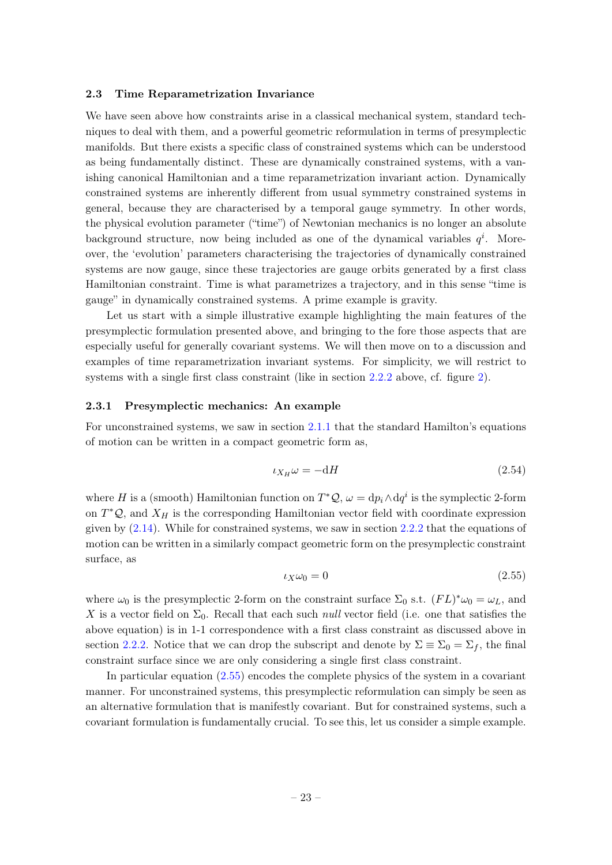## 2.3 Time Reparametrization Invariance

We have seen above how constraints arise in a classical mechanical system, standard techniques to deal with them, and a powerful geometric reformulation in terms of presymplectic manifolds. But there exists a specific class of constrained systems which can be understood as being fundamentally distinct. These are dynamically constrained systems, with a vanishing canonical Hamiltonian and a time reparametrization invariant action. Dynamically constrained systems are inherently different from usual symmetry constrained systems in general, because they are characterised by a temporal gauge symmetry. In other words, the physical evolution parameter ("time") of Newtonian mechanics is no longer an absolute background structure, now being included as one of the dynamical variables  $q<sup>i</sup>$ . Moreover, the 'evolution' parameters characterising the trajectories of dynamically constrained systems are now gauge, since these trajectories are gauge orbits generated by a first class Hamiltonian constraint. Time is what parametrizes a trajectory, and in this sense "time is gauge" in dynamically constrained systems. A prime example is gravity.

Let us start with a simple illustrative example highlighting the main features of the presymplectic formulation presented above, and bringing to the fore those aspects that are especially useful for generally covariant systems. We will then move on to a discussion and examples of time reparametrization invariant systems. For simplicity, we will restrict to systems with a single first class constraint (like in section [2.2.2](#page--1-0) above, cf. figure [2\)](#page--1-1).

#### <span id="page-0-1"></span>2.3.1 Presymplectic mechanics: An example

For unconstrained systems, we saw in section [2.1.1](#page--1-2) that the standard Hamilton's equations of motion can be written in a compact geometric form as,

$$
\iota_{X_H}\omega = -\mathrm{d}H\tag{2.54}
$$

where H is a (smooth) Hamiltonian function on  $T^*Q$ ,  $\omega = dp_i \wedge dq^i$  is the symplectic 2-form on  $T^{\ast}Q$ , and  $X_H$  is the corresponding Hamiltonian vector field with coordinate expression given by [\(2.14\)](#page--1-3). While for constrained systems, we saw in section [2.2.2](#page--1-0) that the equations of motion can be written in a similarly compact geometric form on the presymplectic constraint surface, as

<span id="page-0-0"></span>
$$
\iota_X \omega_0 = 0 \tag{2.55}
$$

where  $\omega_0$  is the presymplectic 2-form on the constraint surface  $\Sigma_0$  s.t.  $(FL)^*\omega_0 = \omega_L$ , and X is a vector field on  $\Sigma_0$ . Recall that each such *null* vector field (i.e. one that satisfies the above equation) is in 1-1 correspondence with a first class constraint as discussed above in section [2.2.2.](#page--1-0) Notice that we can drop the subscript and denote by  $\Sigma \equiv \Sigma_0 = \Sigma_f$ , the final constraint surface since we are only considering a single first class constraint.

In particular equation [\(2.55\)](#page-0-0) encodes the complete physics of the system in a covariant manner. For unconstrained systems, this presymplectic reformulation can simply be seen as an alternative formulation that is manifestly covariant. But for constrained systems, such a covariant formulation is fundamentally crucial. To see this, let us consider a simple example.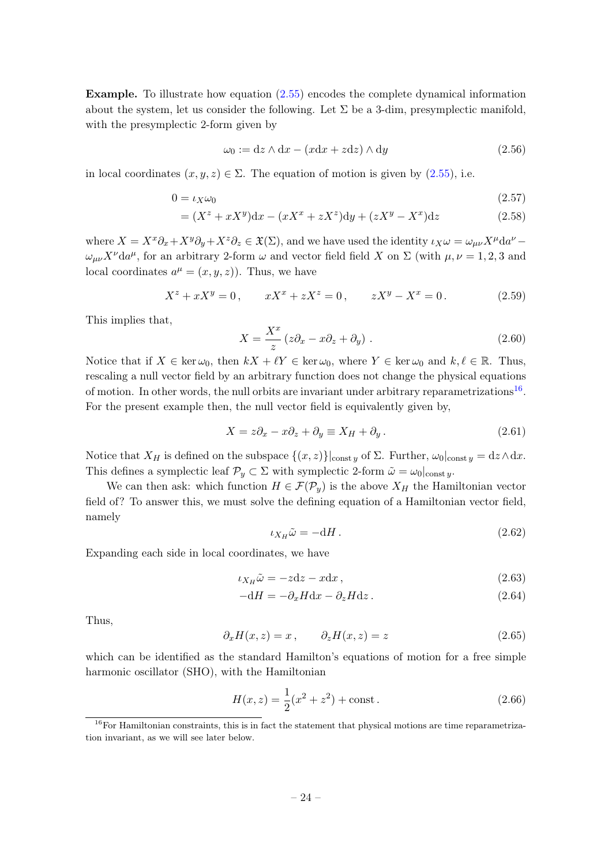Example. To illustrate how equation [\(2.55\)](#page-0-0) encodes the complete dynamical information about the system, let us consider the following. Let  $\Sigma$  be a 3-dim, presymplectic manifold, with the presymplectic 2-form given by

<span id="page-1-2"></span><span id="page-1-1"></span>
$$
\omega_0 := dz \wedge dx - (x dx + z dz) \wedge dy \qquad (2.56)
$$

in local coordinates  $(x, y, z) \in \Sigma$ . The equation of motion is given by  $(2.55)$ , i.e.

$$
0 = \iota_X \omega_0 \tag{2.57}
$$

$$
= (Xz + xXy)dx - (xXx + zXz)dy + (zXy - Xx)dz
$$
 (2.58)

where  $X = X^x \partial_x + X^y \partial_y + X^z \partial_z \in \mathfrak{X}(\Sigma)$ , and we have used the identity  $\iota_X \omega = \omega_{\mu\nu} X^{\mu} da^{\nu} - \nu$  $\omega_{\mu\nu}X^{\nu}da^{\mu}$ , for an arbitrary 2-form  $\omega$  and vector field field X on  $\Sigma$  (with  $\mu, \nu = 1, 2, 3$  and local coordinates  $a^{\mu} = (x, y, z)$ . Thus, we have

$$
X^{z} + xX^{y} = 0, \qquad xX^{x} + zX^{z} = 0, \qquad zX^{y} - X^{x} = 0.
$$
 (2.59)

This implies that,

$$
X = \frac{X^x}{z} \left( z \partial_x - x \partial_z + \partial_y \right) . \tag{2.60}
$$

Notice that if  $X \in \text{ker } \omega_0$ , then  $kX + \ell Y \in \text{ker } \omega_0$ , where  $Y \in \text{ker } \omega_0$  and  $k, \ell \in \mathbb{R}$ . Thus, rescaling a null vector field by an arbitrary function does not change the physical equations of motion. In other words, the null orbits are invariant under arbitrary reparametrizations<sup>[16](#page-1-0)</sup>. For the present example then, the null vector field is equivalently given by,

$$
X = z\partial_x - x\partial_z + \partial_y \equiv X_H + \partial_y.
$$
 (2.61)

Notice that  $X_H$  is defined on the subspace  $\{(x, z)\}|_{\text{const } y}$  of  $\Sigma$ . Further,  $\omega_0|_{\text{const } y} = dz \wedge dx$ . This defines a symplectic leaf  $\mathcal{P}_y \subset \Sigma$  with symplectic 2-form  $\tilde{\omega} = \omega_0|_{\text{const }y}$ .

We can then ask: which function  $H \in \mathcal{F}(\mathcal{P}_v)$  is the above  $X_H$  the Hamiltonian vector field of? To answer this, we must solve the defining equation of a Hamiltonian vector field, namely

$$
\iota_{X_H}\tilde{\omega} = -\mathrm{d}H\,. \tag{2.62}
$$

Expanding each side in local coordinates, we have

$$
\iota_{X_H}\tilde{\omega} = -zdz - xdx, \qquad (2.63)
$$

$$
-\mathrm{d}H = -\partial_x H \mathrm{d}x - \partial_z H \mathrm{d}z \,. \tag{2.64}
$$

Thus,

<span id="page-1-3"></span>
$$
\partial_x H(x, z) = x, \qquad \partial_z H(x, z) = z \tag{2.65}
$$

which can be identified as the standard Hamilton's equations of motion for a free simple harmonic oscillator (SHO), with the Hamiltonian

$$
H(x,z) = \frac{1}{2}(x^2 + z^2) + \text{const.}
$$
 (2.66)

<span id="page-1-0"></span> $16$ For Hamiltonian constraints, this is in fact the statement that physical motions are time reparametrization invariant, as we will see later below.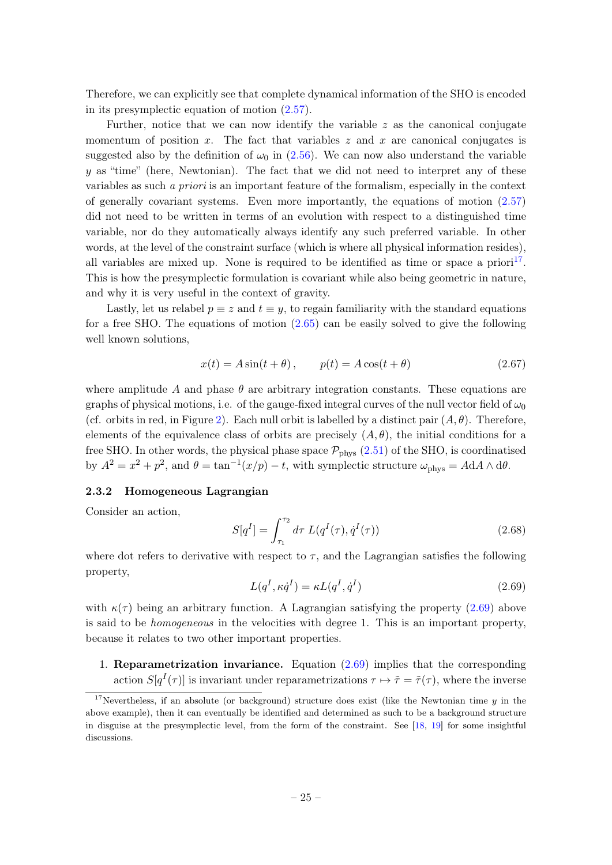Therefore, we can explicitly see that complete dynamical information of the SHO is encoded in its presymplectic equation of motion [\(2.57\)](#page-1-1).

Further, notice that we can now identify the variable  $z$  as the canonical conjugate momentum of position x. The fact that variables  $z$  and  $x$  are canonical conjugates is suggested also by the definition of  $\omega_0$  in [\(2.56\)](#page-1-2). We can now also understand the variable  $y$  as "time" (here, Newtonian). The fact that we did not need to interpret any of these variables as such a priori is an important feature of the formalism, especially in the context of generally covariant systems. Even more importantly, the equations of motion [\(2.57\)](#page-1-1) did not need to be written in terms of an evolution with respect to a distinguished time variable, nor do they automatically always identify any such preferred variable. In other words, at the level of the constraint surface (which is where all physical information resides), all variables are mixed up. None is required to be identified as time or space a priori<sup>[17](#page-2-0)</sup>. This is how the presymplectic formulation is covariant while also being geometric in nature, and why it is very useful in the context of gravity.

Lastly, let us relabel  $p \equiv z$  and  $t \equiv y$ , to regain familiarity with the standard equations for a free SHO. The equations of motion [\(2.65\)](#page-1-3) can be easily solved to give the following well known solutions,

$$
x(t) = A\sin(t+\theta), \qquad p(t) = A\cos(t+\theta) \tag{2.67}
$$

where amplitude A and phase  $\theta$  are arbitrary integration constants. These equations are graphs of physical motions, i.e. of the gauge-fixed integral curves of the null vector field of  $\omega_0$ (cf. orbits in red, in Figure [2\)](#page--1-1). Each null orbit is labelled by a distinct pair  $(A, \theta)$ . Therefore, elements of the equivalence class of orbits are precisely  $(A, \theta)$ , the initial conditions for a free SHO. In other words, the physical phase space  $\mathcal{P}_{\text{phys}}$  [\(2.51\)](#page--1-4) of the SHO, is coordinatised by  $A^2 = x^2 + p^2$ , and  $\theta = \tan^{-1}(x/p) - t$ , with symplectic structure  $\omega_{\text{phys}} = A dA \wedge d\theta$ .

#### <span id="page-2-2"></span>2.3.2 Homogeneous Lagrangian

Consider an action,

$$
S[q^I] = \int_{\tau_1}^{\tau_2} d\tau \ L(q^I(\tau), \dot{q}^I(\tau)) \tag{2.68}
$$

where dot refers to derivative with respect to  $\tau$ , and the Lagrangian satisfies the following property,

<span id="page-2-1"></span>
$$
L(q^I, \kappa \dot{q}^I) = \kappa L(q^I, \dot{q}^I)
$$
\n(2.69)

with  $\kappa(\tau)$  being an arbitrary function. A Lagrangian satisfying the property [\(2.69\)](#page-2-1) above is said to be homogeneous in the velocities with degree 1. This is an important property, because it relates to two other important properties.

1. Reparametrization invariance. Equation  $(2.69)$  implies that the corresponding action  $S[q^I(\tau)]$  is invariant under reparametrizations  $\tau \mapsto \tilde{\tau} = \tilde{\tau}(\tau)$ , where the inverse

<span id="page-2-0"></span><sup>&</sup>lt;sup>17</sup>Nevertheless, if an absolute (or background) structure does exist (like the Newtonian time  $y$  in the above example), then it can eventually be identified and determined as such to be a background structure in disguise at the presymplectic level, from the form of the constraint. See [\[18,](#page-7-0) [19\]](#page-7-1) for some insightful discussions.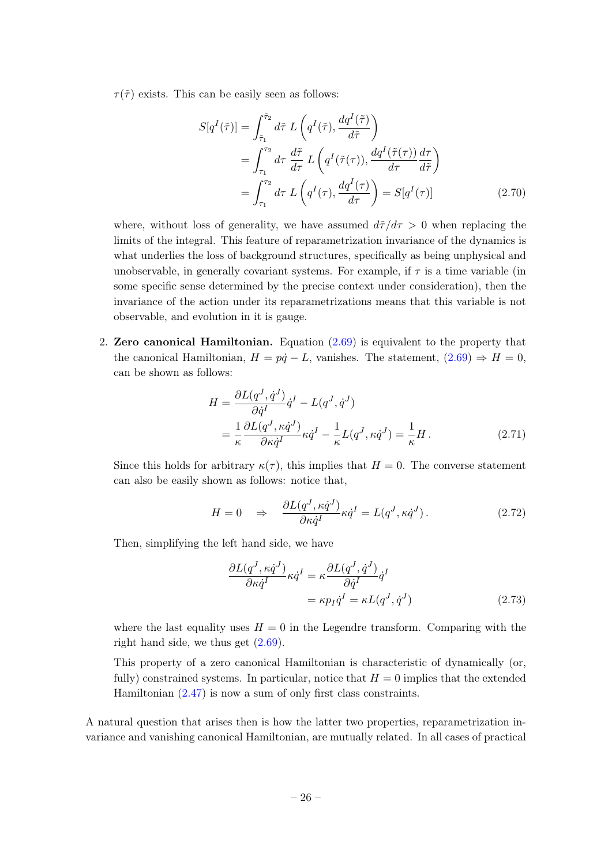$\tau(\tilde{\tau})$  exists. This can be easily seen as follows:

$$
S[q^{I}(\tilde{\tau})] = \int_{\tilde{\tau}_{1}}^{\tilde{\tau}_{2}} d\tilde{\tau} L\left(q^{I}(\tilde{\tau}), \frac{dq^{I}(\tilde{\tau})}{d\tilde{\tau}}\right)
$$
  
\n
$$
= \int_{\tau_{1}}^{\tau_{2}} d\tau \frac{d\tilde{\tau}}{d\tau} L\left(q^{I}(\tilde{\tau}(\tau)), \frac{dq^{I}(\tilde{\tau}(\tau))}{d\tau} \frac{d\tau}{d\tilde{\tau}}\right)
$$
  
\n
$$
= \int_{\tau_{1}}^{\tau_{2}} d\tau L\left(q^{I}(\tau), \frac{dq^{I}(\tau)}{d\tau}\right) = S[q^{I}(\tau)] \qquad (2.70)
$$

where, without loss of generality, we have assumed  $d\tilde{\tau}/d\tau > 0$  when replacing the limits of the integral. This feature of reparametrization invariance of the dynamics is what underlies the loss of background structures, specifically as being unphysical and unobservable, in generally covariant systems. For example, if  $\tau$  is a time variable (in some specific sense determined by the precise context under consideration), then the invariance of the action under its reparametrizations means that this variable is not observable, and evolution in it is gauge.

2. **Zero canonical Hamiltonian.** Equation  $(2.69)$  is equivalent to the property that the canonical Hamiltonian,  $H = p\dot{q} - L$ , vanishes. The statement,  $(2.69) \Rightarrow H = 0$  $(2.69) \Rightarrow H = 0$ , can be shown as follows:

$$
H = \frac{\partial L(q^J, \dot{q}^J)}{\partial \dot{q}^I} \dot{q}^I - L(q^J, \dot{q}^J)
$$
  
= 
$$
\frac{1}{\kappa} \frac{\partial L(q^J, \kappa \dot{q}^J)}{\partial \kappa \dot{q}^I} \kappa \dot{q}^I - \frac{1}{\kappa} L(q^J, \kappa \dot{q}^J) = \frac{1}{\kappa} H.
$$
 (2.71)

Since this holds for arbitrary  $\kappa(\tau)$ , this implies that  $H = 0$ . The converse statement can also be easily shown as follows: notice that,

$$
H = 0 \quad \Rightarrow \quad \frac{\partial L(q^J, \kappa \dot{q}^J)}{\partial \kappa \dot{q}^I} \kappa \dot{q}^I = L(q^J, \kappa \dot{q}^J). \tag{2.72}
$$

Then, simplifying the left hand side, we have

$$
\frac{\partial L(q^J, \kappa \dot{q}^J)}{\partial \kappa \dot{q}^I} \kappa \dot{q}^I = \kappa \frac{\partial L(q^J, \dot{q}^J)}{\partial \dot{q}^I} \dot{q}^I
$$
\n
$$
= \kappa p_I \dot{q}^I = \kappa L(q^J, \dot{q}^J) \tag{2.73}
$$

where the last equality uses  $H = 0$  in the Legendre transform. Comparing with the right hand side, we thus get [\(2.69\)](#page-2-1).

This property of a zero canonical Hamiltonian is characteristic of dynamically (or, fully) constrained systems. In particular, notice that  $H = 0$  implies that the extended Hamiltonian [\(2.47\)](#page--1-5) is now a sum of only first class constraints.

A natural question that arises then is how the latter two properties, reparametrization invariance and vanishing canonical Hamiltonian, are mutually related. In all cases of practical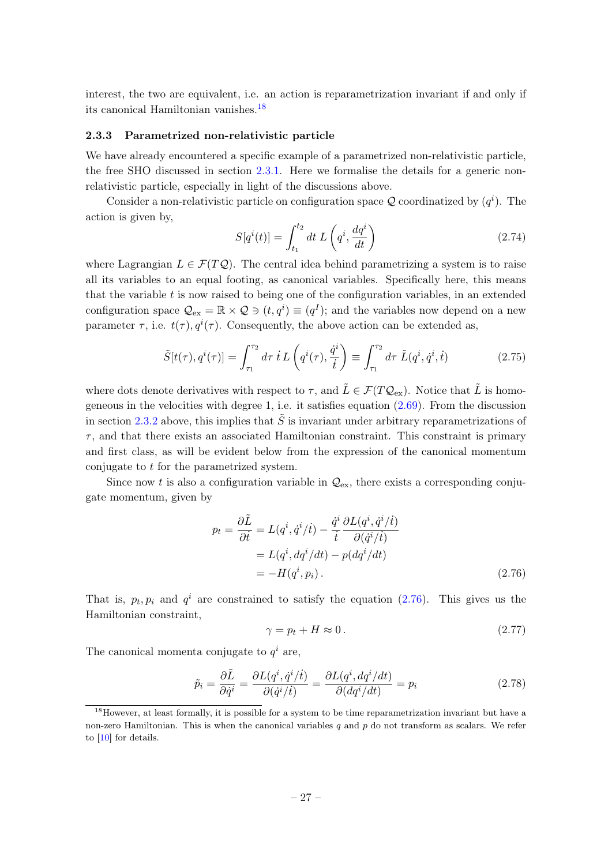interest, the two are equivalent, i.e. an action is reparametrization invariant if and only if its canonical Hamiltonian vanishes.[18](#page-4-0)

## 2.3.3 Parametrized non-relativistic particle

We have already encountered a specific example of a parametrized non-relativistic particle, the free SHO discussed in section [2.3.1.](#page-0-1) Here we formalise the details for a generic nonrelativistic particle, especially in light of the discussions above.

Consider a non-relativistic particle on configuration space  $\mathcal Q$  coordinatized by  $(q^i)$ . The action is given by,

$$
S[q^i(t)] = \int_{t_1}^{t_2} dt \, L\left(q^i, \frac{dq^i}{dt}\right) \tag{2.74}
$$

where Lagrangian  $L \in \mathcal{F}(TQ)$ . The central idea behind parametrizing a system is to raise all its variables to an equal footing, as canonical variables. Specifically here, this means that the variable  $t$  is now raised to being one of the configuration variables, in an extended configuration space  $\mathcal{Q}_{ex} = \mathbb{R} \times \mathcal{Q} \ni (t, q^i) \equiv (q^I);$  and the variables now depend on a new parameter  $\tau$ , i.e.  $t(\tau)$ ,  $q^{i}(\tau)$ . Consequently, the above action can be extended as,

$$
\tilde{S}[t(\tau), q^{i}(\tau)] = \int_{\tau_1}^{\tau_2} d\tau \, i \, L\left(q^{i}(\tau), \frac{\dot{q}^{i}}{t}\right) \equiv \int_{\tau_1}^{\tau_2} d\tau \, \tilde{L}(q^{i}, \dot{q}^{i}, \dot{t}) \tag{2.75}
$$

where dots denote derivatives with respect to  $\tau$ , and  $\tilde{L} \in \mathcal{F}(T\mathcal{Q}_{ex})$ . Notice that  $\tilde{L}$  is homogeneous in the velocities with degree 1, i.e. it satisfies equation [\(2.69\)](#page-2-1). From the discussion in section [2.3.2](#page-2-2) above, this implies that  $\tilde{S}$  is invariant under arbitrary reparametrizations of  $\tau$ , and that there exists an associated Hamiltonian constraint. This constraint is primary and first class, as will be evident below from the expression of the canonical momentum conjugate to t for the parametrized system.

Since now t is also a configuration variable in  $\mathcal{Q}_{\text{ex}}$ , there exists a corresponding conjugate momentum, given by

$$
p_t = \frac{\partial \tilde{L}}{\partial \dot{t}} = L(q^i, \dot{q}^i/\dot{t}) - \frac{\dot{q}^i}{\dot{t}} \frac{\partial L(q^i, \dot{q}^i/\dot{t})}{\partial (\dot{q}^i/\dot{t})}
$$
  
=  $L(q^i, dq^i/dt) - p(dq^i/dt)$   
=  $-H(q^i, p_i)$ . (2.76)

That is,  $p_t, p_i$  and  $q^i$  are constrained to satisfy the equation [\(2.76\)](#page-4-1). This gives us the Hamiltonian constraint,

<span id="page-4-2"></span><span id="page-4-1"></span>
$$
\gamma = p_t + H \approx 0. \tag{2.77}
$$

The canonical momenta conjugate to  $q^i$  are,

$$
\tilde{p}_i = \frac{\partial \tilde{L}}{\partial \dot{q}^i} = \frac{\partial L(q^i, \dot{q}^i/\dot{t})}{\partial (\dot{q}^i/\dot{t})} = \frac{\partial L(q^i, dq^i/dt)}{\partial (dq^i/dt)} = p_i
$$
\n(2.78)

<span id="page-4-0"></span><sup>&</sup>lt;sup>18</sup>However, at least formally, it is possible for a system to be time reparametrization invariant but have a non-zero Hamiltonian. This is when the canonical variables  $q$  and  $p$  do not transform as scalars. We refer to [\[10\]](#page-7-2) for details.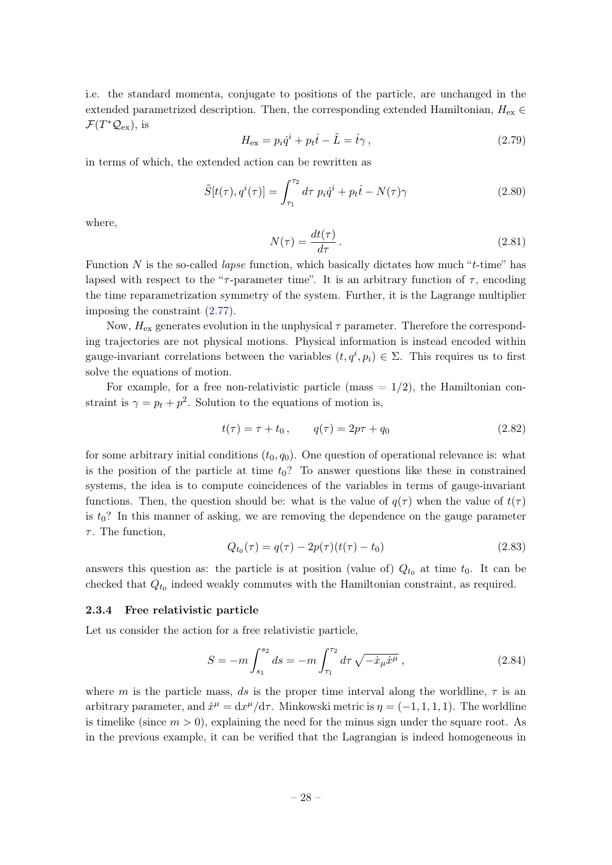i.e. the standard momenta, conjugate to positions of the particle, are unchanged in the extended parametrized description. Then, the corresponding extended Hamiltonian,  $H_{ex} \in$  $\mathcal{F}(T^*\mathcal{Q}_{\mathrm{ex}})$ , is

$$
H_{\text{ex}} = p_i \dot{q}^i + p_t \dot{t} - \tilde{L} = \dot{t} \gamma \,, \tag{2.79}
$$

in terms of which, the extended action can be rewritten as

$$
\tilde{S}[t(\tau), q^{i}(\tau)] = \int_{\tau_1}^{\tau_2} d\tau \ p_i \dot{q}^i + p_t \dot{t} - N(\tau) \gamma \qquad (2.80)
$$

where,

$$
N(\tau) = \frac{dt(\tau)}{d\tau} \,. \tag{2.81}
$$

Function N is the so-called *lapse* function, which basically dictates how much " $t$ -time" has lapsed with respect to the " $\tau$ -parameter time". It is an arbitrary function of  $\tau$ , encoding the time reparametrization symmetry of the system. Further, it is the Lagrange multiplier imposing the constraint [\(2.77\)](#page-4-2).

Now,  $H_{\text{ex}}$  generates evolution in the unphysical  $\tau$  parameter. Therefore the corresponding trajectories are not physical motions. Physical information is instead encoded within gauge-invariant correlations between the variables  $(t, q^i, p_i) \in \Sigma$ . This requires us to first solve the equations of motion.

For example, for a free non-relativistic particle (mass  $= 1/2$ ), the Hamiltonian constraint is  $\gamma = p_t + p^2$ . Solution to the equations of motion is,

$$
t(\tau) = \tau + t_0, \qquad q(\tau) = 2p\tau + q_0 \tag{2.82}
$$

for some arbitrary initial conditions  $(t_0, q_0)$ . One question of operational relevance is: what is the position of the particle at time  $t_0$ ? To answer questions like these in constrained systems, the idea is to compute coincidences of the variables in terms of gauge-invariant functions. Then, the question should be: what is the value of  $q(\tau)$  when the value of  $t(\tau)$ is  $t_0$ ? In this manner of asking, we are removing the dependence on the gauge parameter  $\tau$ . The function,

<span id="page-5-0"></span>
$$
Q_{t_0}(\tau) = q(\tau) - 2p(\tau)(t(\tau) - t_0)
$$
\n(2.83)

answers this question as: the particle is at position (value of)  $Q_{t_0}$  at time  $t_0$ . It can be checked that  $Q_{t_0}$  indeed weakly commutes with the Hamiltonian constraint, as required.

#### 2.3.4 Free relativistic particle

Let us consider the action for a free relativistic particle,

$$
S = -m \int_{s_1}^{s_2} ds = -m \int_{\tau_1}^{\tau_2} d\tau \sqrt{-\dot{x}_\mu \dot{x}^\mu} , \qquad (2.84)
$$

where m is the particle mass, ds is the proper time interval along the worldline,  $\tau$  is an arbitrary parameter, and  $\dot{x}^{\mu} = dx^{\mu}/d\tau$ . Minkowski metric is  $\eta = (-1, 1, 1, 1)$ . The worldline is timelike (since  $m > 0$ ), explaining the need for the minus sign under the square root. As in the previous example, it can be verified that the Lagrangian is indeed homogeneous in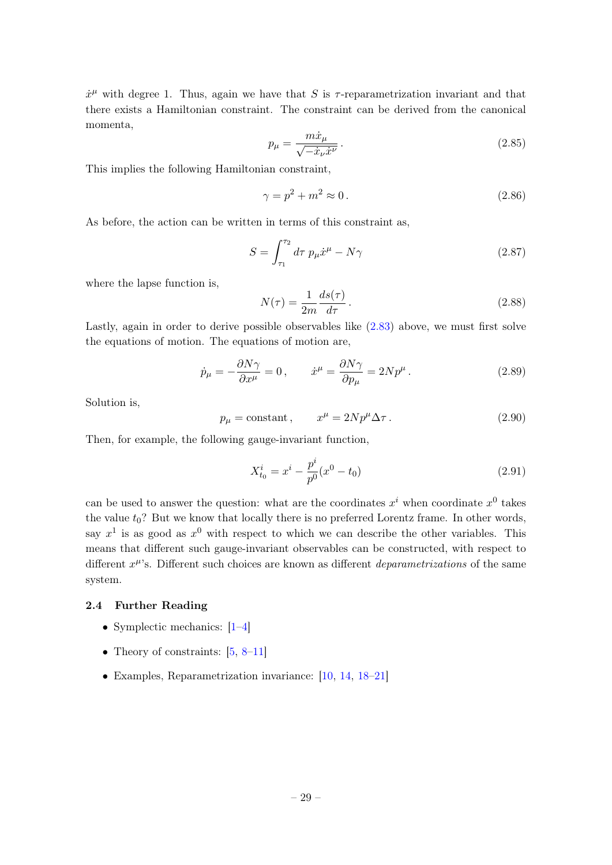$\dot{x}^{\mu}$  with degree 1. Thus, again we have that S is  $\tau$ -reparametrization invariant and that there exists a Hamiltonian constraint. The constraint can be derived from the canonical momenta,

$$
p_{\mu} = \frac{m\dot{x}_{\mu}}{\sqrt{-\dot{x}_{\nu}\dot{x}^{\nu}}}.
$$
\n(2.85)

This implies the following Hamiltonian constraint,

$$
\gamma = p^2 + m^2 \approx 0. \tag{2.86}
$$

As before, the action can be written in terms of this constraint as,

$$
S = \int_{\tau_1}^{\tau_2} d\tau \ p_\mu \dot{x}^\mu - N\gamma \tag{2.87}
$$

where the lapse function is,

$$
N(\tau) = \frac{1}{2m} \frac{ds(\tau)}{d\tau}.
$$
\n(2.88)

Lastly, again in order to derive possible observables like [\(2.83\)](#page-5-0) above, we must first solve the equations of motion. The equations of motion are,

$$
\dot{p}_{\mu} = -\frac{\partial N\gamma}{\partial x^{\mu}} = 0, \qquad \dot{x}^{\mu} = \frac{\partial N\gamma}{\partial p_{\mu}} = 2Np^{\mu}.
$$
 (2.89)

Solution is,

$$
p_{\mu} = \text{constant} \,, \qquad x^{\mu} = 2Np^{\mu}\Delta\tau \,. \tag{2.90}
$$

Then, for example, the following gauge-invariant function,

$$
X_{t_0}^i = x^i - \frac{p^i}{p^0}(x^0 - t_0)
$$
\n(2.91)

can be used to answer the question: what are the coordinates  $x^i$  when coordinate  $x^0$  takes the value  $t_0$ ? But we know that locally there is no preferred Lorentz frame. In other words, say  $x^1$  is as good as  $x^0$  with respect to which we can describe the other variables. This means that different such gauge-invariant observables can be constructed, with respect to different  $x^{\mu}$ 's. Different such choices are known as different *deparametrizations* of the same system.

## 2.4 Further Reading

- Symplectic mechanics: [\[1](#page-7-3)[–4\]](#page-7-4)
- Theory of constraints:  $[5, 8-11]$  $[5, 8-11]$  $[5, 8-11]$
- Examples, Reparametrization invariance: [\[10,](#page-7-2) [14,](#page-7-8) [18](#page-7-0)[–21\]](#page-7-9)